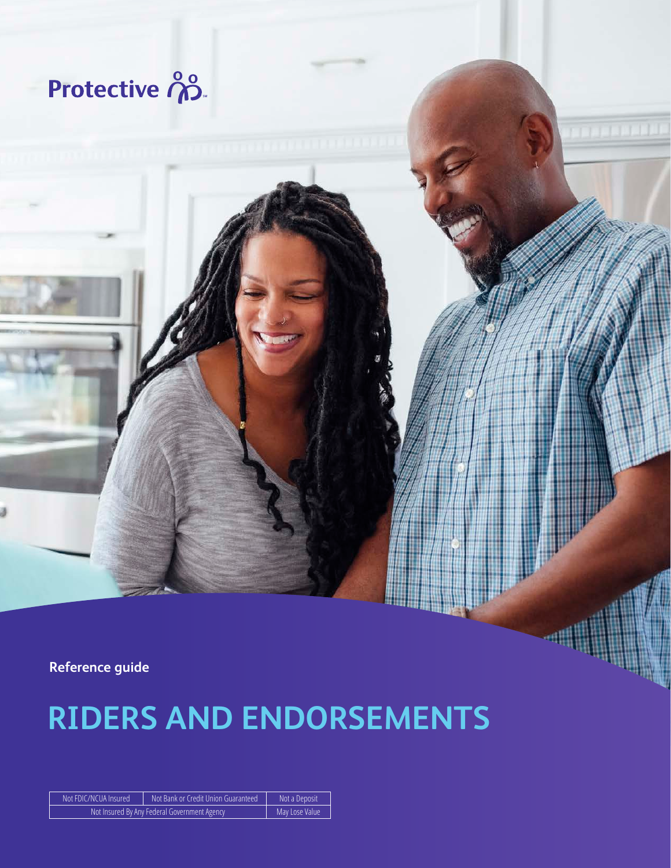

Protective ကို

# **RIDERS AND ENDORSEMENTS**

**FRAFRICKER** 

| Not FDIC/NCUA Insured                        | Not Bank or Credit Union Guaranteed | Not a Deposit  |
|----------------------------------------------|-------------------------------------|----------------|
| Not Insured By Any Federal Government Agency |                                     | May Lose Value |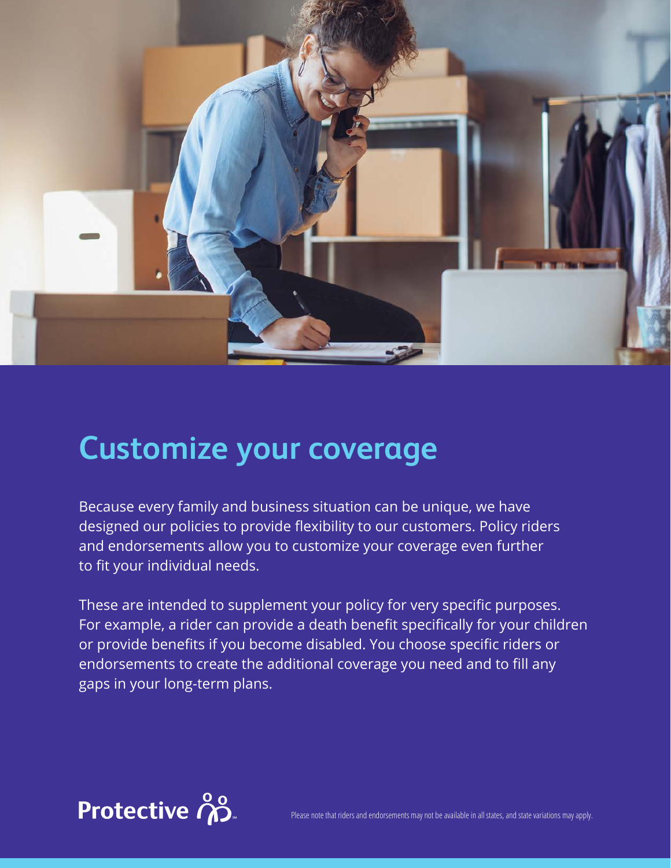

# **Customize your coverage**

Because every family and business situation can be unique, we have designed our policies to provide flexibility to our customers. Policy riders and endorsements allow you to customize your coverage even further to fit your individual needs.

These are intended to supplement your policy for very specific purposes. For example, a rider can provide a death benefit specifically for your children or provide benefits if you become disabled. You choose specific riders or endorsements to create the additional coverage you need and to fill any gaps in your long-term plans.



Please note that riders and endorsements may not be available in all states, and state variations may apply.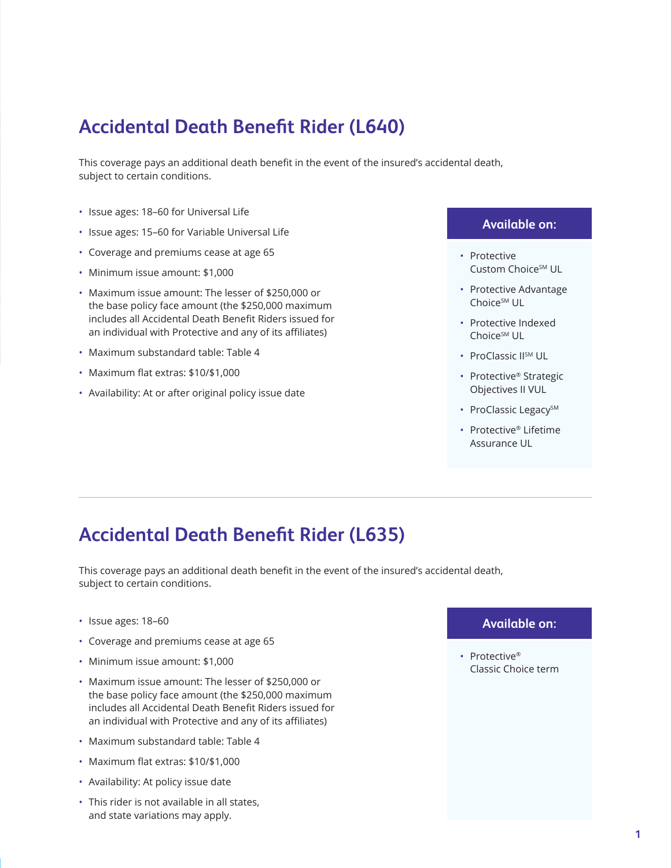# **Accidental Death Benefit Rider (L640)**

This coverage pays an additional death benefit in the event of the insured's accidental death, subject to certain conditions.

- Issue ages: 18–60 for Universal Life
- Issue ages: 15–60 for Variable Universal Life
- Coverage and premiums cease at age 65
- Minimum issue amount: \$1,000
- Maximum issue amount: The lesser of \$250,000 or the base policy face amount (the \$250,000 maximum includes all Accidental Death Benefit Riders issued for an individual with Protective and any of its affiliates)
- Maximum substandard table: Table 4
- Maximum flat extras: \$10/\$1,000
- Availability: At or after original policy issue date

**Available on:**

- Protective Custom Choice<sup>SM</sup> UL
- Protective Advantage Choice<sup>SM</sup> UL
- Protective Indexed Choice<sup>SM</sup> UL
- ProClassic IISM UL
- Protective® Strategic Objectives II VUL
- ProClassic Legacy<sup>SM</sup>
- Protective® Lifetime Assurance UL

### **Accidental Death Benefit Rider (L635)**

This coverage pays an additional death benefit in the event of the insured's accidental death, subject to certain conditions.

- Issue ages: 18–60
- Coverage and premiums cease at age 65
- Minimum issue amount: \$1,000
- Maximum issue amount: The lesser of \$250,000 or the base policy face amount (the \$250,000 maximum includes all Accidental Death Benefit Riders issued for an individual with Protective and any of its affiliates)
- Maximum substandard table: Table 4
- Maximum flat extras: \$10/\$1,000
- Availability: At policy issue date
- This rider is not available in all states, and state variations may apply.

#### **Available on:**

• Protective<sup>®</sup> Classic Choice term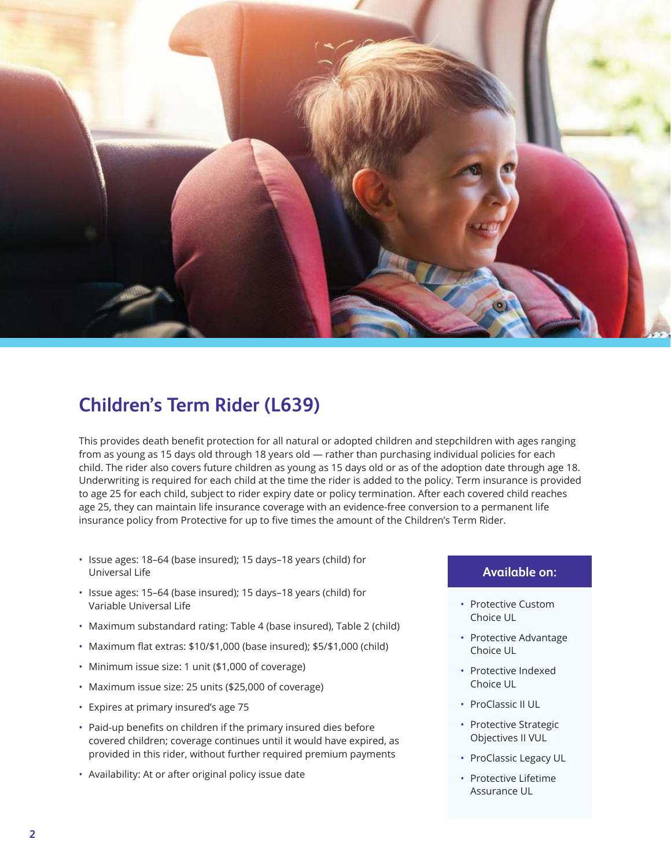

# **Children's Term Rider (L639)**

This provides death benefit protection for all natural or adopted children and stepchildren with ages ranging from as young as 15 days old through 18 years old — rather than purchasing individual policies for each child. The rider also covers future children as young as 15 days old or as of the adoption date through age 18. Underwriting is required for each child at the time the rider is added to the policy. Term insurance is provided to age 25 for each child, subject to rider expiry date or policy termination. After each covered child reaches age 25, they can maintain life insurance coverage with an evidence-free conversion to a permanent life insurance policy from Protective for up to five times the amount of the Children's Term Rider.

- Issue ages: 18–64 (base insured); 15 days–18 years (child) for Universal Life
- Issue ages: 15–64 (base insured); 15 days–18 years (child) for Variable Universal Life
- Maximum substandard rating: Table 4 (base insured), Table 2 (child)
- Maximum flat extras: \$10/\$1,000 (base insured); \$5/\$1,000 (child)
- Minimum issue size: 1 unit (\$1,000 of coverage)
- Maximum issue size: 25 units (\$25,000 of coverage)
- Expires at primary insured's age 75
- Paid-up benefits on children if the primary insured dies before covered children; coverage continues until it would have expired, as provided in this rider, without further required premium payments
- Availability: At or after original policy issue date

#### **Available on:**

- Protective Custom Choice UL
- Protective Advantage Choice UL
- Protective Indexed Choice UL
- ProClassic II UL
- Protective Strategic Objectives II VUL
- ProClassic Legacy UL
- Protective Lifetime Assurance UL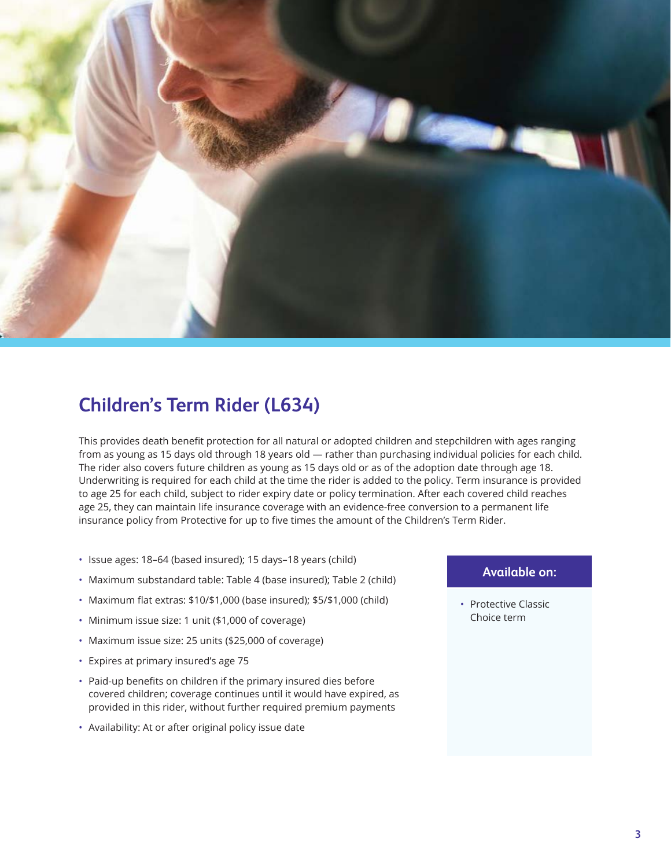

## **Children's Term Rider (L634)**

This provides death benefit protection for all natural or adopted children and stepchildren with ages ranging from as young as 15 days old through 18 years old — rather than purchasing individual policies for each child. The rider also covers future children as young as 15 days old or as of the adoption date through age 18. Underwriting is required for each child at the time the rider is added to the policy. Term insurance is provided to age 25 for each child, subject to rider expiry date or policy termination. After each covered child reaches age 25, they can maintain life insurance coverage with an evidence-free conversion to a permanent life insurance policy from Protective for up to five times the amount of the Children's Term Rider.

- Issue ages: 18–64 (based insured); 15 days–18 years (child)
- Maximum substandard table: Table 4 (base insured); Table 2 (child)
- Maximum flat extras: \$10/\$1,000 (base insured); \$5/\$1,000 (child)
- Minimum issue size: 1 unit (\$1,000 of coverage)
- Maximum issue size: 25 units (\$25,000 of coverage)
- Expires at primary insured's age 75
- Paid-up benefits on children if the primary insured dies before covered children; coverage continues until it would have expired, as provided in this rider, without further required premium payments
- Availability: At or after original policy issue date

#### **Available on:**

• Protective Classic Choice term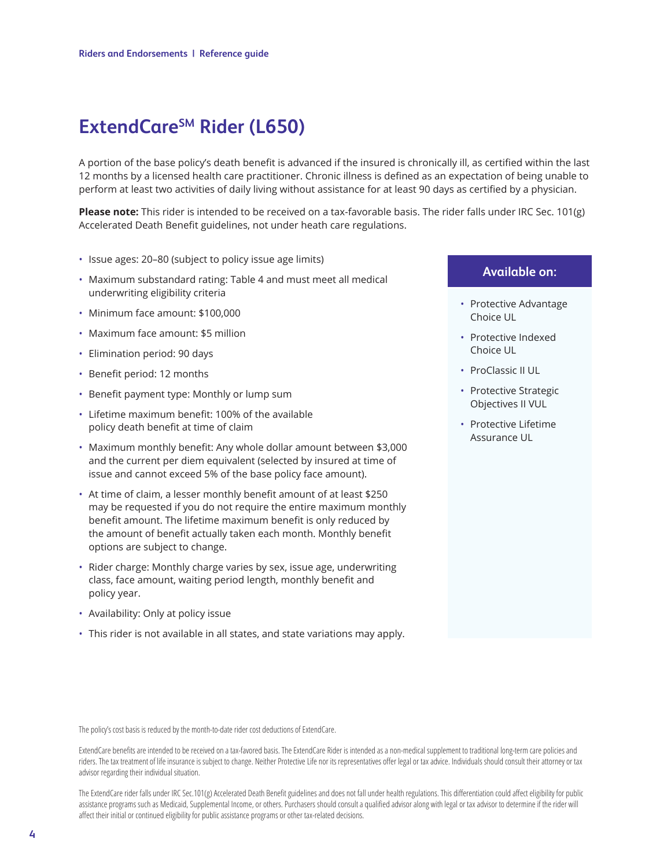### ExtendCare<sup>SM</sup> Rider (L650)

A portion of the base policy's death benefit is advanced if the insured is chronically ill, as certified within the last 12 months by a licensed health care practitioner. Chronic illness is defined as an expectation of being unable to perform at least two activities of daily living without assistance for at least 90 days as certified by a physician.

**Please note:** This rider is intended to be received on a tax-favorable basis. The rider falls under IRC Sec. 101(g) Accelerated Death Benefit guidelines, not under heath care regulations.

- Issue ages: 20–80 (subject to policy issue age limits)
- Maximum substandard rating: Table 4 and must meet all medical underwriting eligibility criteria
- Minimum face amount: \$100,000
- Maximum face amount: \$5 million
- Elimination period: 90 days
- Benefit period: 12 months
- Benefit payment type: Monthly or lump sum
- Lifetime maximum benefit: 100% of the available policy death benefit at time of claim
- Maximum monthly benefit: Any whole dollar amount between \$3,000 and the current per diem equivalent (selected by insured at time of issue and cannot exceed 5% of the base policy face amount).
- At time of claim, a lesser monthly benefit amount of at least \$250 may be requested if you do not require the entire maximum monthly benefit amount. The lifetime maximum benefit is only reduced by the amount of benefit actually taken each month. Monthly benefit options are subject to change.
- Rider charge: Monthly charge varies by sex, issue age, underwriting class, face amount, waiting period length, monthly benefit and policy year.
- Availability: Only at policy issue
- This rider is not available in all states, and state variations may apply.

#### **Available on:**

- Protective Advantage Choice UL
- Protective Indexed Choice UL
- ProClassic II UL
- Protective Strategic Objectives II VUL
- Protective Lifetime Assurance UL

The policy's cost basis is reduced by the month-to-date rider cost deductions of ExtendCare.

ExtendCare benefits are intended to be received on a tax-favored basis. The ExtendCare Rider is intended as a non-medical supplement to traditional long-term care policies and riders. The tax treatment of life insurance is subject to change. Neither Protective Life nor its representatives offer legal or tax advice. Individuals should consult their attorney or tax advisor regarding their individual situation.

The ExtendCare rider falls under IRC Sec.101(g) Accelerated Death Benefit guidelines and does not fall under health regulations. This differentiation could affect eligibility for public assistance programs such as Medicaid, Supplemental Income, or others. Purchasers should consult a qualified advisor along with legal or tax advisor to determine if the rider will affect their initial or continued eligibility for public assistance programs or other tax-related decisions.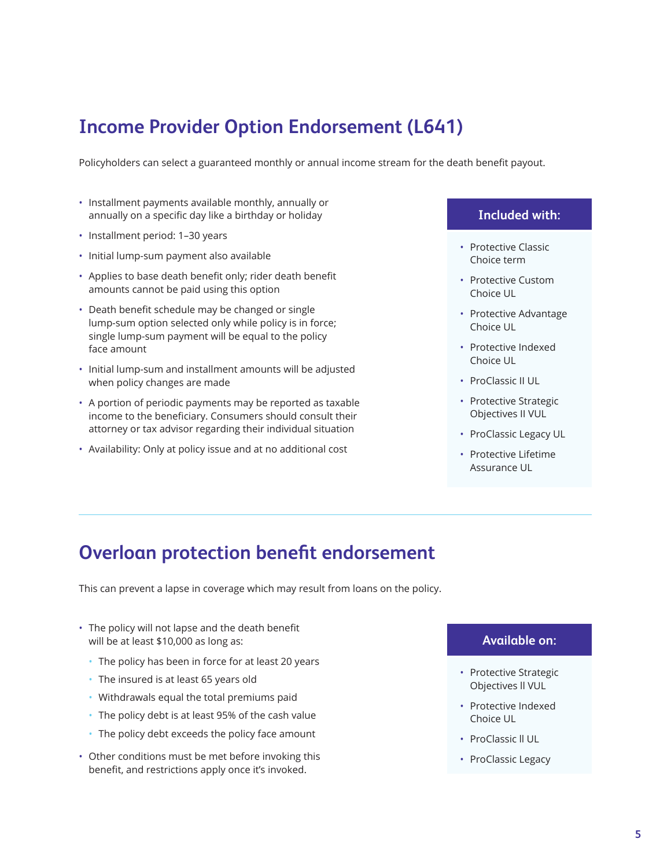# **Income Provider Option Endorsement (L641)**

Policyholders can select a guaranteed monthly or annual income stream for the death benefit payout.

- Installment payments available monthly, annually or annually on a specific day like a birthday or holiday
- Installment period: 1–30 years
- Initial lump-sum payment also available
- Applies to base death benefit only; rider death benefit amounts cannot be paid using this option
- Death benefit schedule may be changed or single lump-sum option selected only while policy is in force; single lump-sum payment will be equal to the policy face amount
- Initial lump-sum and installment amounts will be adjusted when policy changes are made
- A portion of periodic payments may be reported as taxable income to the beneficiary. Consumers should consult their attorney or tax advisor regarding their individual situation
- Availability: Only at policy issue and at no additional cost

#### **Included with:**

- Protective Classic Choice term
- Protective Custom Choice UL
- Protective Advantage Choice UL
- Protective Indexed Choice UL
- ProClassic II UL
- Protective Strategic Objectives II VUL
- ProClassic Legacy UL
- Protective Lifetime Assurance UL

### **Overloan protection benefit endorsement**

This can prevent a lapse in coverage which may result from loans on the policy.

- The policy will not lapse and the death benefit will be at least \$10,000 as long as:
	- The policy has been in force for at least 20 years
	- The insured is at least 65 years old
	- Withdrawals equal the total premiums paid
	- The policy debt is at least 95% of the cash value
	- The policy debt exceeds the policy face amount
- Other conditions must be met before invoking this benefit, and restrictions apply once it's invoked.

#### **Available on:**

- Protective Strategic Objectives ll VUL
- Protective Indexed Choice UL
- ProClassic ll UL
- ProClassic Legacy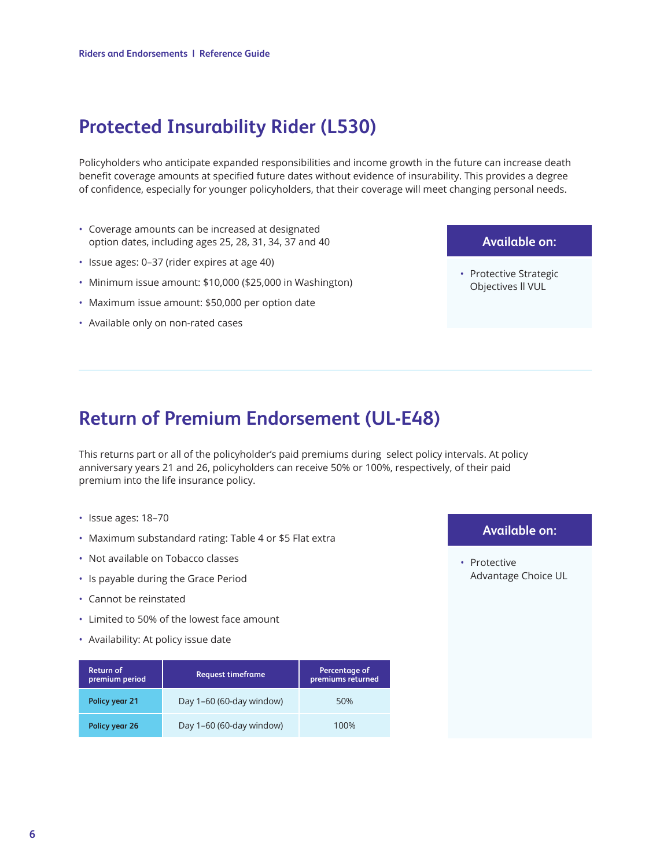## **Protected Insurability Rider (L530)**

Policyholders who anticipate expanded responsibilities and income growth in the future can increase death benefit coverage amounts at specified future dates without evidence of insurability. This provides a degree of confidence, especially for younger policyholders, that their coverage will meet changing personal needs.

- Coverage amounts can be increased at designated option dates, including ages 25, 28, 31, 34, 37 and 40
- Issue ages: 0–37 (rider expires at age 40)
- Minimum issue amount: \$10,000 (\$25,000 in Washington)
- Maximum issue amount: \$50,000 per option date
- Available only on non-rated cases

#### **Available on:**

• Protective Strategic Objectives ll VUL

### **Return of Premium Endorsement (UL-E48)**

This returns part or all of the policyholder's paid premiums during select policy intervals. At policy anniversary years 21 and 26, policyholders can receive 50% or 100%, respectively, of their paid premium into the life insurance policy.

- Issue ages: 18–70
- Maximum substandard rating: Table 4 or \$5 Flat extra
- Not available on Tobacco classes
- Is payable during the Grace Period
- Cannot be reinstated
- Limited to 50% of the lowest face amount
- Availability: At policy issue date

| <b>Return of</b><br>premium period | <b>Request timeframe</b> | Percentage of<br>premiums returned |
|------------------------------------|--------------------------|------------------------------------|
| Policy year 21                     | Day 1-60 (60-day window) | 50%                                |
| Policy year 26                     | Day 1-60 (60-day window) | 100%                               |

#### **Available on:**

• Protective Advantage Choice UL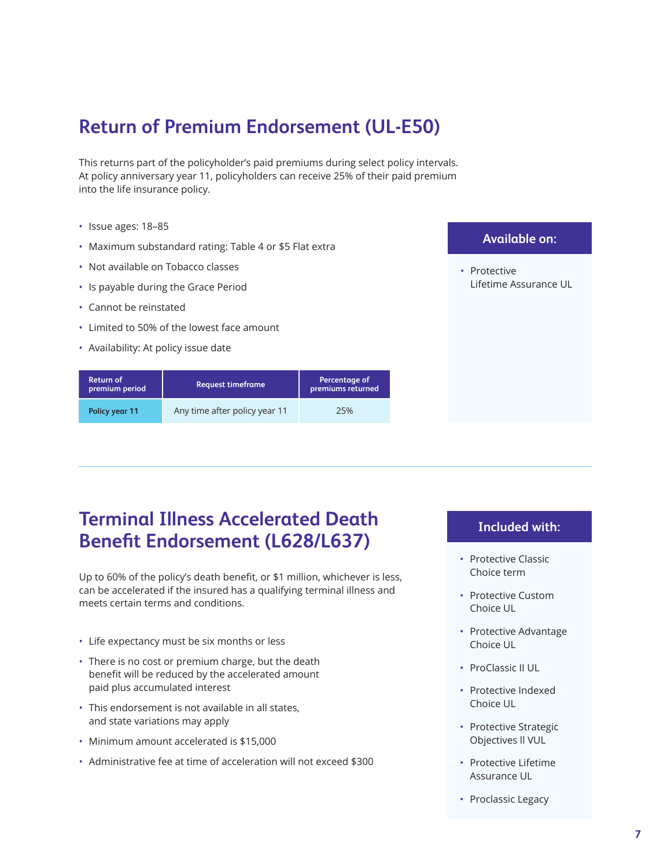# **Return of Premium Endorsement (UL-E50)**

This returns part of the policyholder's paid premiums during select policy intervals. At policy anniversary year 11, policyholders can receive 25% of their paid premium into the life insurance policy.

- Issue ages: 18–85
- Maximum substandard rating: Table 4 or \$5 Flat extra
- Not available on Tobacco classes
- Is payable during the Grace Period
- Cannot be reinstated
- Limited to 50% of the lowest face amount
- Availability: At policy issue date

| Return of<br>premium period | <b>Request timeframe</b>      | Percentage of<br>premiums returned |
|-----------------------------|-------------------------------|------------------------------------|
| Policy year 11              | Any time after policy year 11 | 25%                                |

#### **Available on:**

• Protective Lifetime Assurance UL

## **Terminal Illness Accelerated Death Benefit Endorsement (L628/L637)**

Up to 60% of the policy's death benefit, or \$1 million, whichever is less, can be accelerated if the insured has a qualifying terminal illness and meets certain terms and conditions.

- Life expectancy must be six months or less
- There is no cost or premium charge, but the death benefit will be reduced by the accelerated amount paid plus accumulated interest
- This endorsement is not available in all states, and state variations may apply
- Minimum amount accelerated is \$15,000
- Administrative fee at time of acceleration will not exceed \$300

#### **Included with:**

- Protective Classic Choice term
- Protective Custom Choice UL
- Protective Advantage Choice UL
- ProClassic II UL
- Protective Indexed Choice UL
- Protective Strategic Objectives ll VUL
- Protective Lifetime Assurance UL
- Proclassic Legacy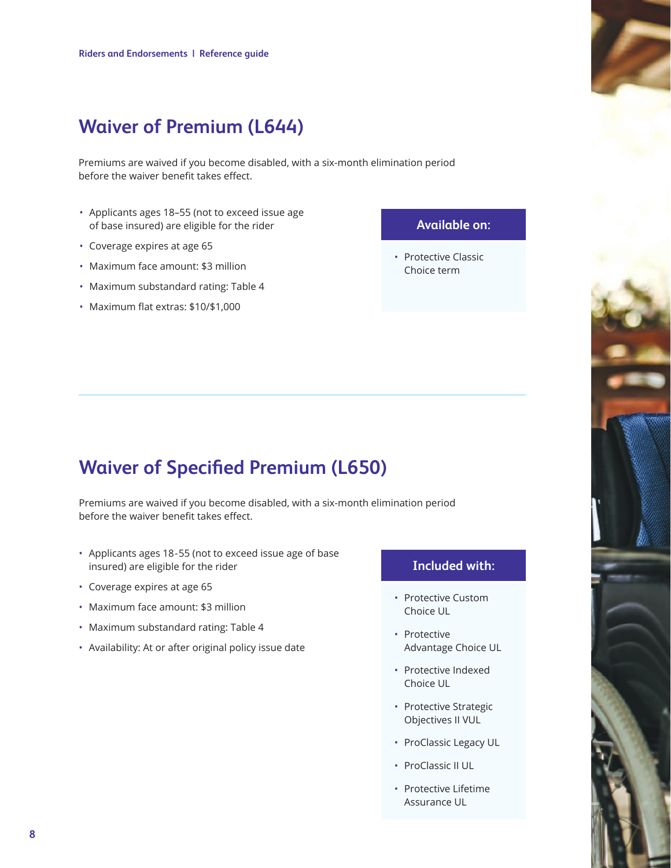# **Waiver of Premium (L644)**

Premiums are waived if you become disabled, with a six-month elimination period before the waiver benefit takes effect.

- Applicants ages 18–55 (not to exceed issue age of base insured) are eligible for the rider
- Coverage expires at age 65
- Maximum face amount: \$3 million
- Maximum substandard rating: Table 4
- Maximum flat extras: \$10/\$1,000

#### **Available on:**

• Protective Classic Choice term

### **Waiver of Specified Premium (L650)**

Premiums are waived if you become disabled, with a six-month elimination period before the waiver benefit takes effect.

- Applicants ages 18-55 (not to exceed issue age of base insured) are eligible for the rider
- Coverage expires at age 65
- Maximum face amount: \$3 million
- Maximum substandard rating: Table 4
- Availability: At or after original policy issue date

#### **Included with:**

- Protective Custom Choice UL
- Protective Advantage Choice UL
- Protective Indexed Choice UL
- Protective Strategic Objectives II VUL
- ProClassic Legacy UL
- ProClassic II UL
- Protective Lifetime Assurance UL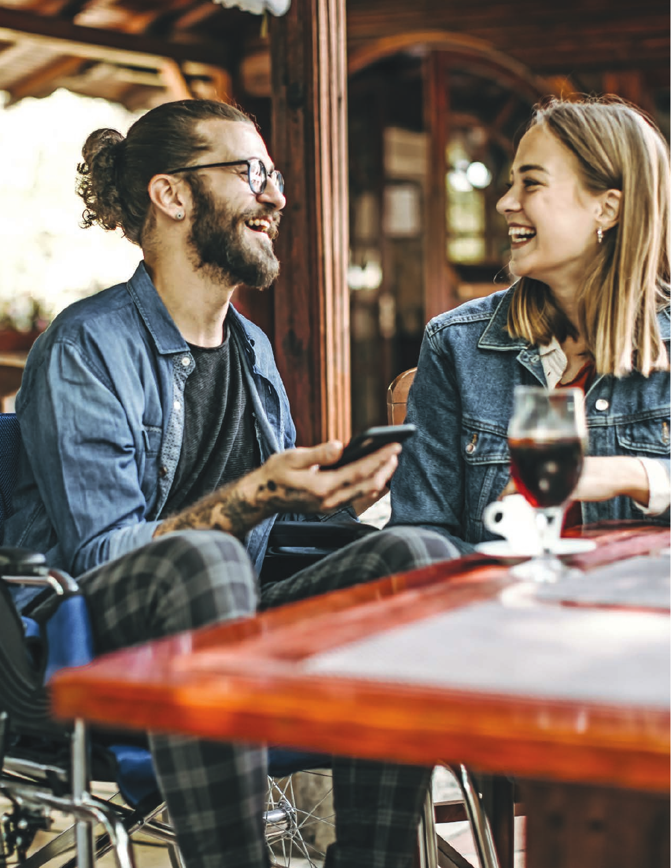